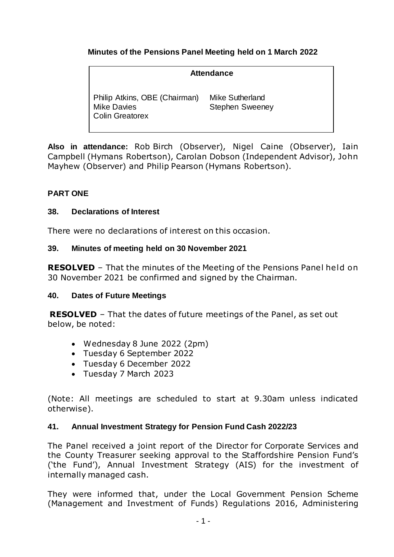# **Minutes of the Pensions Panel Meeting held on 1 March 2022**

### **Attendance** Philip Atkins, OBE (Chairman) Mike Davies Colin Greatorex Mike Sutherland Stephen Sweeney

**Also in attendance:** Rob Birch (Observer), Nigel Caine (Observer), Iain Campbell (Hymans Robertson), Carolan Dobson (Independent Advisor), John Mayhew (Observer) and Philip Pearson (Hymans Robertson).

# **PART ONE**

### **38. Declarations of Interest**

There were no declarations of interest on this occasion.

### **39. Minutes of meeting held on 30 November 2021**

**RESOLVED** – That the minutes of the Meeting of the Pensions Panel held on 30 November 2021 be confirmed and signed by the Chairman.

# **40. Dates of Future Meetings**

**RESOLVED** – That the dates of future meetings of the Panel, as set out below, be noted:

- Wednesday 8 June 2022 (2pm)
- Tuesday 6 September 2022
- Tuesday 6 December 2022
- Tuesday 7 March 2023

(Note: All meetings are scheduled to start at 9.30am unless indicated otherwise).

#### **41. Annual Investment Strategy for Pension Fund Cash 2022/23**

The Panel received a joint report of the Director for Corporate Services and the County Treasurer seeking approval to the Staffordshire Pension Fund's ('the Fund'), Annual Investment Strategy (AIS) for the investment of internally managed cash.

They were informed that, under the Local Government Pension Scheme (Management and Investment of Funds) Regulations 2016, Administering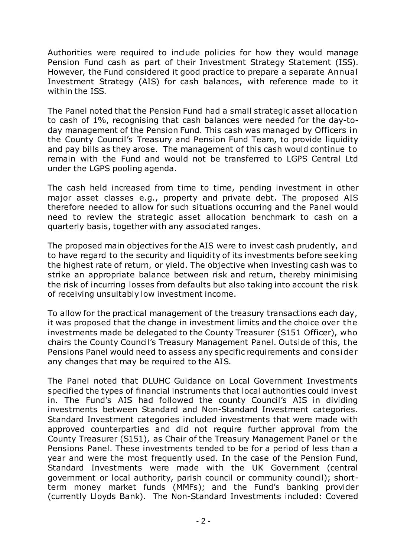Authorities were required to include policies for how they would manage Pension Fund cash as part of their Investment Strategy Statement (ISS). However, the Fund considered it good practice to prepare a separate Annual Investment Strategy (AIS) for cash balances, with reference made to it within the ISS.

The Panel noted that the Pension Fund had a small strategic asset allocation to cash of 1%, recognising that cash balances were needed for the day-today management of the Pension Fund. This cash was managed by Officers in the County Council's Treasury and Pension Fund Team, to provide liquidity and pay bills as they arose. The management of this cash would continue to remain with the Fund and would not be transferred to LGPS Central Ltd under the LGPS pooling agenda.

The cash held increased from time to time, pending investment in other major asset classes e.g., property and private debt. The proposed AIS therefore needed to allow for such situations occurring and the Panel would need to review the strategic asset allocation benchmark to cash on a quarterly basis, together with any associated ranges.

The proposed main objectives for the AIS were to invest cash prudently, and to have regard to the security and liquidity of its investments before seeking the highest rate of return, or yield. The objective when investing cash was to strike an appropriate balance between risk and return, thereby minimising the risk of incurring losses from defaults but also taking into account the risk of receiving unsuitably low investment income.

To allow for the practical management of the treasury transactions each day, it was proposed that the change in investment limits and the choice over the investments made be delegated to the County Treasurer (S151 Officer), who chairs the County Council's Treasury Management Panel. Outside of this, the Pensions Panel would need to assess any specific requirements and consider any changes that may be required to the AIS.

The Panel noted that DLUHC Guidance on Local Government Investments specified the types of financial instruments that local authorities could invest in. The Fund's AIS had followed the county Council's AIS in dividing investments between Standard and Non-Standard Investment categories. Standard Investment categories included investments that were made with approved counterparties and did not require further approval from the County Treasurer (S151), as Chair of the Treasury Management Panel or the Pensions Panel. These investments tended to be for a period of less than a year and were the most frequently used. In the case of the Pension Fund, Standard Investments were made with the UK Government (central government or local authority, parish council or community council); shortterm money market funds (MMFs); and the Fund's banking provider (currently Lloyds Bank). The Non-Standard Investments included: Covered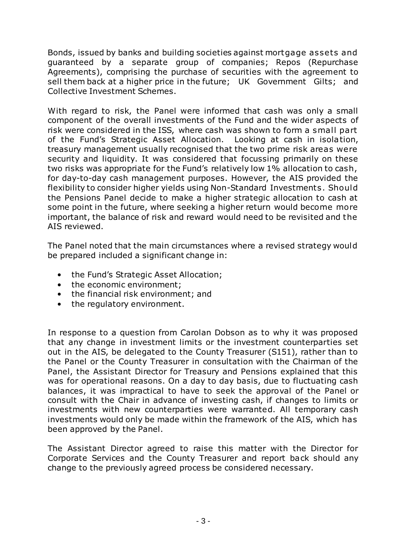Bonds, issued by banks and building societies against mortgage assets and guaranteed by a separate group of companies; Repos (Repurchase Agreements), comprising the purchase of securities with the agreement to sell them back at a higher price in the future; UK Government Gilts; and Collective Investment Schemes.

With regard to risk, the Panel were informed that cash was only a small component of the overall investments of the Fund and the wider aspects of risk were considered in the ISS, where cash was shown to form a small part of the Fund's Strategic Asset Allocation. Looking at cash in isolation, treasury management usually recognised that the two prime risk areas were security and liquidity. It was considered that focussing primarily on these two risks was appropriate for the Fund's relatively low 1% allocation to cash, for day-to-day cash management purposes. However, the AIS provided the flexibility to consider higher yields using Non-Standard Investments. Should the Pensions Panel decide to make a higher strategic allocation to cash at some point in the future, where seeking a higher return would become more important, the balance of risk and reward would need to be revisited and the AIS reviewed.

The Panel noted that the main circumstances where a revised strategy would be prepared included a significant change in:

- the Fund's Strategic Asset Allocation;
- the economic environment;
- the financial risk environment; and
- the regulatory environment.

In response to a question from Carolan Dobson as to why it was proposed that any change in investment limits or the investment counterparties set out in the AIS, be delegated to the County Treasurer (S151), rather than to the Panel or the County Treasurer in consultation with the Chairman of the Panel, the Assistant Director for Treasury and Pensions explained that this was for operational reasons. On a day to day basis, due to fluctuating cash balances, it was impractical to have to seek the approval of the Panel or consult with the Chair in advance of investing cash, if changes to limits or investments with new counterparties were warranted. All temporary cash investments would only be made within the framework of the AIS, which has been approved by the Panel.

The Assistant Director agreed to raise this matter with the Director for Corporate Services and the County Treasurer and report back should any change to the previously agreed process be considered necessary.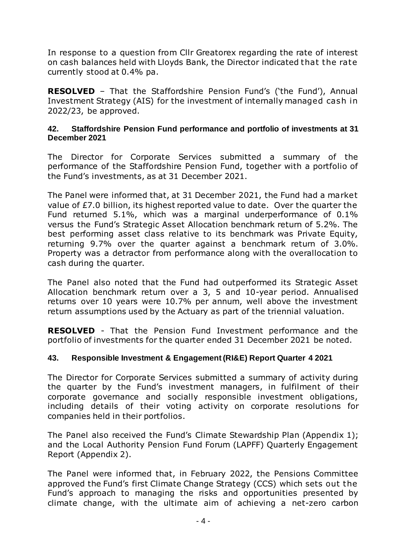In response to a question from Cllr Greatorex regarding the rate of interest on cash balances held with Lloyds Bank, the Director indicated that the rate currently stood at 0.4% pa.

**RESOLVED** – That the Staffordshire Pension Fund's ('the Fund'), Annual Investment Strategy (AIS) for the investment of internally managed cash in 2022/23, be approved.

### **42. Staffordshire Pension Fund performance and portfolio of investments at 31 December 2021**

The Director for Corporate Services submitted a summary of the performance of the Staffordshire Pension Fund, together with a portfolio of the Fund's investments, as at 31 December 2021.

The Panel were informed that, at 31 December 2021, the Fund had a market value of £7.0 billion, its highest reported value to date. Over the quarter the Fund returned 5.1%, which was a marginal underperformance of 0.1% versus the Fund's Strategic Asset Allocation benchmark return of 5.2%. The best performing asset class relative to its benchmark was Private Equity, returning 9.7% over the quarter against a benchmark return of 3.0%. Property was a detractor from performance along with the overallocation to cash during the quarter.

The Panel also noted that the Fund had outperformed its Strategic Asset Allocation benchmark return over a 3, 5 and 10-year period. Annualised returns over 10 years were 10.7% per annum, well above the investment return assumptions used by the Actuary as part of the triennial valuation.

**RESOLVED** - That the Pension Fund Investment performance and the portfolio of investments for the quarter ended 31 December 2021 be noted.

# **43. Responsible Investment & Engagement (RI&E) Report Quarter 4 2021**

The Director for Corporate Services submitted a summary of activity during the quarter by the Fund's investment managers, in fulfilment of their corporate governance and socially responsible investment obligations, including details of their voting activity on corporate resolutions for companies held in their portfolios.

The Panel also received the Fund's Climate Stewardship Plan (Appendix 1); and the Local Authority Pension Fund Forum (LAPFF) Quarterly Engagement Report (Appendix 2).

The Panel were informed that, in February 2022, the Pensions Committee approved the Fund's first Climate Change Strategy (CCS) which sets out the Fund's approach to managing the risks and opportunities presented by climate change, with the ultimate aim of achieving a net-zero carbon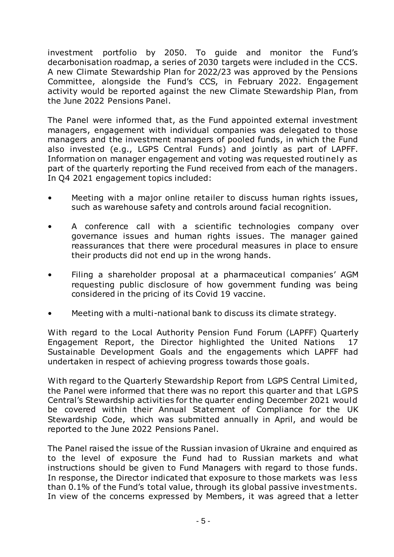investment portfolio by 2050. To guide and monitor the Fund's decarbonisation roadmap, a series of 2030 targets were included in the CCS. A new Climate Stewardship Plan for 2022/23 was approved by the Pensions Committee, alongside the Fund's CCS, in February 2022. Engagement activity would be reported against the new Climate Stewardship Plan, from the June 2022 Pensions Panel.

The Panel were informed that, as the Fund appointed external investment managers, engagement with individual companies was delegated to those managers and the investment managers of pooled funds, in which the Fund also invested (e.g., LGPS Central Funds) and jointly as part of LAPFF. Information on manager engagement and voting was requested routinely as part of the quarterly reporting the Fund received from each of the managers . In Q4 2021 engagement topics included:

- Meeting with a major online retailer to discuss human rights issues, such as warehouse safety and controls around facial recognition.
- A conference call with a scientific technologies company over governance issues and human rights issues. The manager gained reassurances that there were procedural measures in place to ensure their products did not end up in the wrong hands.
- Filing a shareholder proposal at a pharmaceutical companies' AGM requesting public disclosure of how government funding was being considered in the pricing of its Covid 19 vaccine.
- Meeting with a multi-national bank to discuss its climate strategy.

With regard to the Local Authority Pension Fund Forum (LAPFF) Quarterly Engagement Report, the Director highlighted the United Nations 17 Sustainable Development Goals and the engagements which LAPFF had undertaken in respect of achieving progress towards those goals.

With regard to the Quarterly Stewardship Report from LGPS Central Limited, the Panel were informed that there was no report this quarter and that LGPS Central's Stewardship activities for the quarter ending December 2021 would be covered within their Annual Statement of Compliance for the UK Stewardship Code, which was submitted annually in April, and would be reported to the June 2022 Pensions Panel.

The Panel raised the issue of the Russian invasion of Ukraine and enquired as to the level of exposure the Fund had to Russian markets and what instructions should be given to Fund Managers with regard to those funds. In response, the Director indicated that exposure to those markets was less than 0.1% of the Fund's total value, through its global passive investments. In view of the concerns expressed by Members, it was agreed that a letter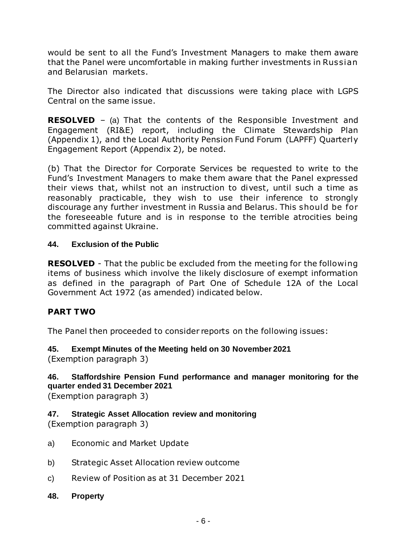would be sent to all the Fund's Investment Managers to make them aware that the Panel were uncomfortable in making further investments in Russian and Belarusian markets.

The Director also indicated that discussions were taking place with LGPS Central on the same issue.

**RESOLVED** – (a) That the contents of the Responsible Investment and Engagement (RI&E) report, including the Climate Stewardship Plan (Appendix 1), and the Local Authority Pension Fund Forum (LAPFF) Quarterly Engagement Report (Appendix 2), be noted.

(b) That the Director for Corporate Services be requested to write to the Fund's Investment Managers to make them aware that the Panel expressed their views that, whilst not an instruction to divest, until such a time as reasonably practicable, they wish to use their inference to strongly discourage any further investment in Russia and Belarus. This should be for the foreseeable future and is in response to the terrible atrocities being committed against Ukraine.

# **44. Exclusion of the Public**

**RESOLVED** - That the public be excluded from the meeting for the following items of business which involve the likely disclosure of exempt information as defined in the paragraph of Part One of Schedule 12A of the Local Government Act 1972 (as amended) indicated below.

# **PART TWO**

The Panel then proceeded to consider reports on the following issues:

# **45. Exempt Minutes of the Meeting held on 30 November 2021**

(Exemption paragraph 3)

# **46. Staffordshire Pension Fund performance and manager monitoring for the quarter ended 31 December 2021**

(Exemption paragraph 3)

# **47. Strategic Asset Allocation review and monitoring**

(Exemption paragraph 3)

- a) Economic and Market Update
- b) Strategic Asset Allocation review outcome
- c) Review of Position as at 31 December 2021
- **48. Property**